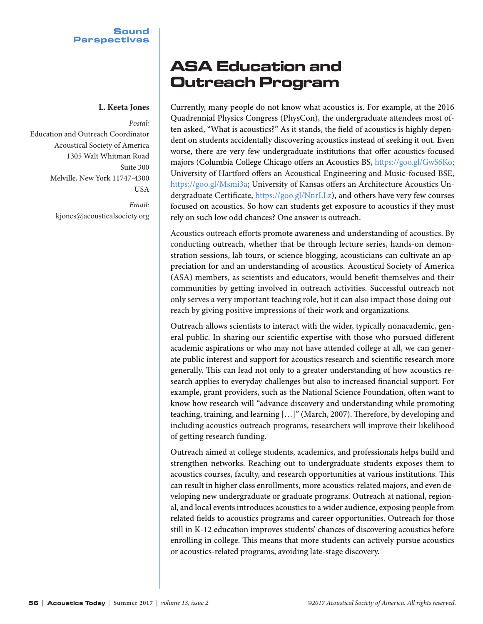## **L. Keeta Jones**

*Postal:* Education and Outreach Coordinator Acoustical Society of America 1305 Walt Whitman Road Suite 300 Melville, New York 11747-4300 USA *Email:*

kjones@acousticalsociety.org

## ASA Education and Outreach Program

Currently, many people do not know what acoustics is. For example, at the 2016 Quadrennial Physics Congress (PhysCon), the undergraduate attendees most often asked, "What is acoustics?" As it stands, the field of acoustics is highly dependent on students accidentally discovering acoustics instead of seeking it out. Even worse, there are very few undergraduate institutions that offer acoustics-focused majors (Columbia College Chicago offers an Acoustics BS, https://goo.gl/GwS6Ko; University of Hartford offers an Acoustical Engineering and Music-focused BSE, https://goo.gl/Msmi3a; University of Kansas offers an Architecture Acoustics Undergraduate Certificate, https://goo.gl/NnrLLz), and others have very few courses focused on acoustics. So how can students get exposure to acoustics if they must rely on such low odd chances? One answer is outreach.

Acoustics outreach efforts promote awareness and understanding of acoustics. By conducting outreach, whether that be through lecture series, hands-on demonstration sessions, lab tours, or science blogging, acousticians can cultivate an appreciation for and an understanding of acoustics. Acoustical Society of America (ASA) members, as scientists and educators, would benefit themselves and their communities by getting involved in outreach activities. Successful outreach not only serves a very important teaching role, but it can also impact those doing outreach by giving positive impressions of their work and organizations.

Outreach allows scientists to interact with the wider, typically nonacademic, general public. In sharing our scientific expertise with those who pursued different academic aspirations or who may not have attended college at all, we can generate public interest and support for acoustics research and scientific research more generally. This can lead not only to a greater understanding of how acoustics research applies to everyday challenges but also to increased financial support. For example, grant providers, such as the National Science Foundation, often want to know how research will "advance discovery and understanding while promoting teaching, training, and learning […]" (March, 2007). Therefore, by developing and including acoustics outreach programs, researchers will improve their likelihood of getting research funding.

Outreach aimed at college students, academics, and professionals helps build and strengthen networks. Reaching out to undergraduate students exposes them to acoustics courses, faculty, and research opportunities at various institutions. This can result in higher class enrollments, more acoustics-related majors, and even developing new undergraduate or graduate programs. Outreach at national, regional, and local events introduces acoustics to a wider audience, exposing people from related fields to acoustics programs and career opportunities. Outreach for those still in K-12 education improves students' chances of discovering acoustics before enrolling in college. This means that more students can actively pursue acoustics or acoustics-related programs, avoiding late-stage discovery.